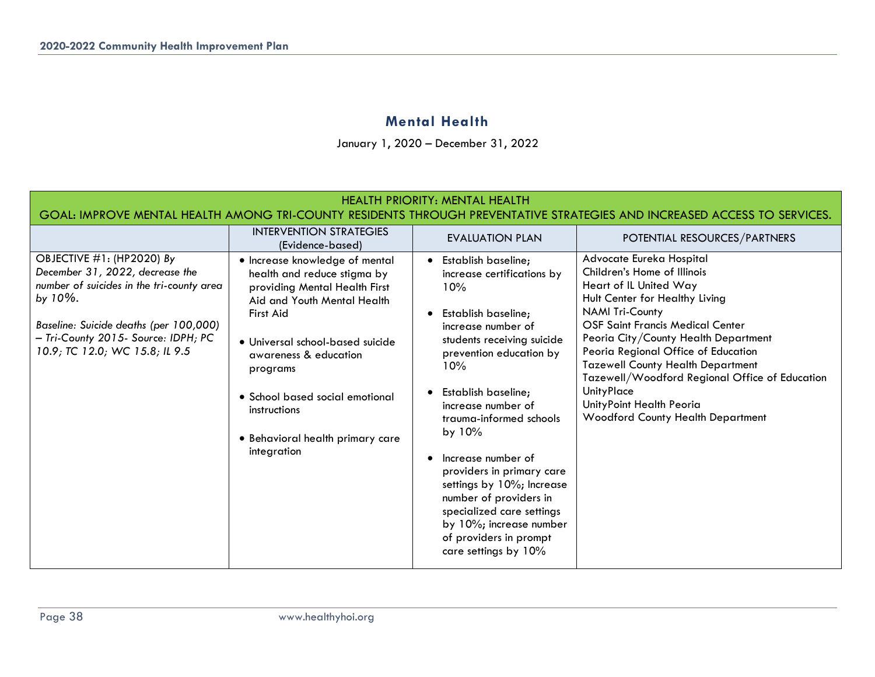## **Mental Health**

January 1, 2020 – December 31, 2022

| <b>HEALTH PRIORITY: MENTAL HEALTH</b><br>GOAL: IMPROVE MENTAL HEALTH AMONG TRI-COUNTY RESIDENTS THROUGH PREVENTATIVE STRATEGIES AND INCREASED ACCESS TO SERVICES.                                                                           |                                                                                                                                                                                                                                                                                                                           |                                                                                                                                                                                                                                                                                                                                                                                                                                                                             |                                                                                                                                                                                                                                                                                                                                                                                                                                                                    |  |  |  |  |  |  |
|---------------------------------------------------------------------------------------------------------------------------------------------------------------------------------------------------------------------------------------------|---------------------------------------------------------------------------------------------------------------------------------------------------------------------------------------------------------------------------------------------------------------------------------------------------------------------------|-----------------------------------------------------------------------------------------------------------------------------------------------------------------------------------------------------------------------------------------------------------------------------------------------------------------------------------------------------------------------------------------------------------------------------------------------------------------------------|--------------------------------------------------------------------------------------------------------------------------------------------------------------------------------------------------------------------------------------------------------------------------------------------------------------------------------------------------------------------------------------------------------------------------------------------------------------------|--|--|--|--|--|--|
|                                                                                                                                                                                                                                             | <b>INTERVENTION STRATEGIES</b><br>(Evidence-based)                                                                                                                                                                                                                                                                        | <b>EVALUATION PLAN</b>                                                                                                                                                                                                                                                                                                                                                                                                                                                      | POTENTIAL RESOURCES/PARTNERS                                                                                                                                                                                                                                                                                                                                                                                                                                       |  |  |  |  |  |  |
| OBJECTIVE #1: (HP2020) By<br>December 31, 2022, decrease the<br>number of suicides in the tri-county area<br>by $10\%$ .<br>Baseline: Suicide deaths (per 100,000)<br>- Tri-County 2015- Source: IDPH; PC<br>10.9; TC 12.0; WC 15.8; IL 9.5 | • Increase knowledge of mental<br>health and reduce stigma by<br>providing Mental Health First<br>Aid and Youth Mental Health<br>First Aid<br>· Universal school-based suicide<br>awareness & education<br>programs<br>• School based social emotional<br>instructions<br>· Behavioral health primary care<br>integration | Establish baseline;<br>increase certifications by<br>10%<br>Establish baseline;<br>increase number of<br>students receiving suicide<br>prevention education by<br>10%<br>Establish baseline;<br>increase number of<br>trauma-informed schools<br>by 10%<br>Increase number of<br>providers in primary care<br>settings by 10%; Increase<br>number of providers in<br>specialized care settings<br>by 10%; increase number<br>of providers in prompt<br>care settings by 10% | Advocate Eureka Hospital<br>Children's Home of Illinois<br>Heart of IL United Way<br>Hult Center for Healthy Living<br><b>NAMI Tri-County</b><br><b>OSF Saint Francis Medical Center</b><br>Peoria City/County Health Department<br>Peoria Regional Office of Education<br><b>Tazewell County Health Department</b><br>Tazewell/Woodford Regional Office of Education<br><b>UnityPlace</b><br>UnityPoint Health Peoria<br><b>Woodford County Health Department</b> |  |  |  |  |  |  |